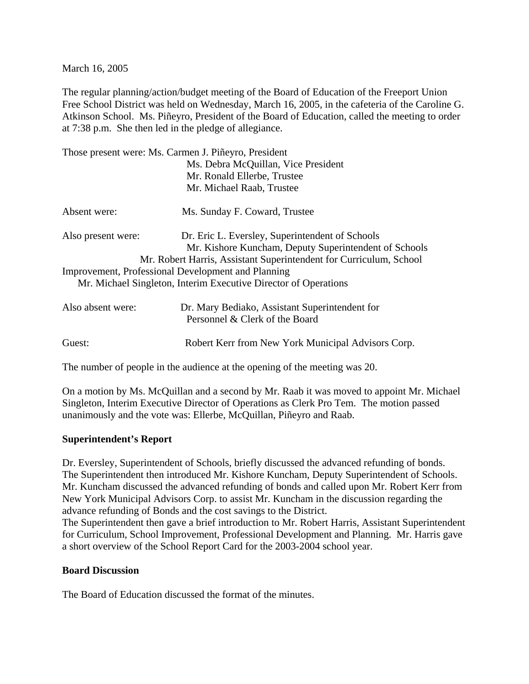March 16, 2005

The regular planning/action/budget meeting of the Board of Education of the Freeport Union Free School District was held on Wednesday, March 16, 2005, in the cafeteria of the Caroline G. Atkinson School. Ms. Piñeyro, President of the Board of Education, called the meeting to order at 7:38 p.m. She then led in the pledge of allegiance.

|                    | Those present were: Ms. Carmen J. Piñeyro, President                                                     |
|--------------------|----------------------------------------------------------------------------------------------------------|
|                    | Ms. Debra McQuillan, Vice President                                                                      |
|                    | Mr. Ronald Ellerbe, Trustee                                                                              |
|                    | Mr. Michael Raab, Trustee                                                                                |
| Absent were:       | Ms. Sunday F. Coward, Trustee                                                                            |
| Also present were: | Dr. Eric L. Eversley, Superintendent of Schools<br>Mr. Kishore Kuncham, Deputy Superintendent of Schools |
|                    | Mr. Robert Harris, Assistant Superintendent for Curriculum, School                                       |
|                    | Improvement, Professional Development and Planning                                                       |
|                    | Mr. Michael Singleton, Interim Executive Director of Operations                                          |
| Also absent were:  | Dr. Mary Bediako, Assistant Superintendent for<br>Personnel & Clerk of the Board                         |
| Guest:             | Robert Kerr from New York Municipal Advisors Corp.                                                       |

The number of people in the audience at the opening of the meeting was 20.

On a motion by Ms. McQuillan and a second by Mr. Raab it was moved to appoint Mr. Michael Singleton, Interim Executive Director of Operations as Clerk Pro Tem. The motion passed unanimously and the vote was: Ellerbe, McQuillan, Piñeyro and Raab.

## **Superintendent's Report**

Dr. Eversley, Superintendent of Schools, briefly discussed the advanced refunding of bonds. The Superintendent then introduced Mr. Kishore Kuncham, Deputy Superintendent of Schools. Mr. Kuncham discussed the advanced refunding of bonds and called upon Mr. Robert Kerr from New York Municipal Advisors Corp. to assist Mr. Kuncham in the discussion regarding the advance refunding of Bonds and the cost savings to the District.

The Superintendent then gave a brief introduction to Mr. Robert Harris, Assistant Superintendent for Curriculum, School Improvement, Professional Development and Planning. Mr. Harris gave a short overview of the School Report Card for the 2003-2004 school year.

#### **Board Discussion**

The Board of Education discussed the format of the minutes.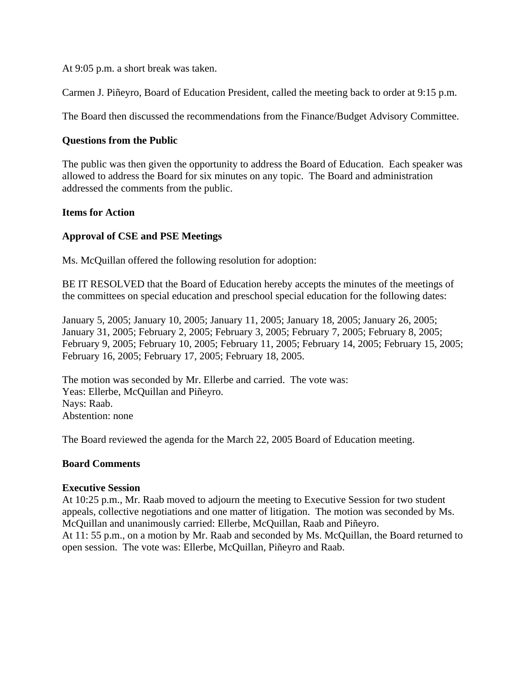At 9:05 p.m. a short break was taken.

Carmen J. Piñeyro, Board of Education President, called the meeting back to order at 9:15 p.m.

The Board then discussed the recommendations from the Finance/Budget Advisory Committee.

# **Questions from the Public**

The public was then given the opportunity to address the Board of Education. Each speaker was allowed to address the Board for six minutes on any topic. The Board and administration addressed the comments from the public.

## **Items for Action**

# **Approval of CSE and PSE Meetings**

Ms. McQuillan offered the following resolution for adoption:

BE IT RESOLVED that the Board of Education hereby accepts the minutes of the meetings of the committees on special education and preschool special education for the following dates:

January 5, 2005; January 10, 2005; January 11, 2005; January 18, 2005; January 26, 2005; January 31, 2005; February 2, 2005; February 3, 2005; February 7, 2005; February 8, 2005; February 9, 2005; February 10, 2005; February 11, 2005; February 14, 2005; February 15, 2005; February 16, 2005; February 17, 2005; February 18, 2005.

The motion was seconded by Mr. Ellerbe and carried. The vote was: Yeas: Ellerbe, McQuillan and Piñeyro. Nays: Raab. Abstention: none

The Board reviewed the agenda for the March 22, 2005 Board of Education meeting.

## **Board Comments**

## **Executive Session**

At 10:25 p.m., Mr. Raab moved to adjourn the meeting to Executive Session for two student appeals, collective negotiations and one matter of litigation. The motion was seconded by Ms. McQuillan and unanimously carried: Ellerbe, McQuillan, Raab and Piñeyro. At 11: 55 p.m., on a motion by Mr. Raab and seconded by Ms. McQuillan, the Board returned to open session. The vote was: Ellerbe, McQuillan, Piñeyro and Raab.